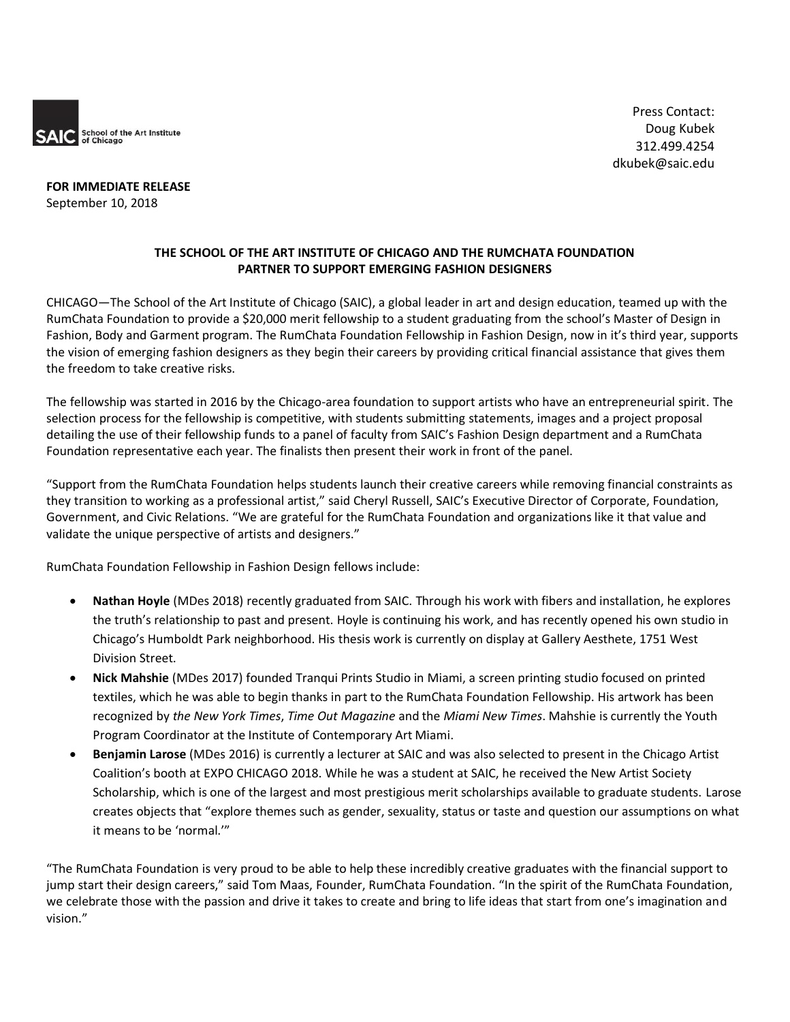

**FOR IMMEDIATE RELEASE** September 10, 2018

## **THE SCHOOL OF THE ART INSTITUTE OF CHICAGO AND THE RUMCHATA FOUNDATION PARTNER TO SUPPORT EMERGING FASHION DESIGNERS**

CHICAGO—The School of the Art Institute of Chicago (SAIC), a global leader in art and design education, teamed up with the RumChata Foundation to provide a \$20,000 merit fellowship to a student graduating from the school's Master of Design in Fashion, Body and Garment program. The RumChata Foundation Fellowship in Fashion Design, now in it's third year, supports the vision of emerging fashion designers as they begin their careers by providing critical financial assistance that gives them the freedom to take creative risks.

The fellowship was started in 2016 by the Chicago-area foundation to support artists who have an entrepreneurial spirit. The selection process for the fellowship is competitive, with students submitting statements, images and a project proposal detailing the use of their fellowship funds to a panel of faculty from SAIC's Fashion Design department and a RumChata Foundation representative each year. The finalists then present their work in front of the panel.

"Support from the RumChata Foundation helps students launch their creative careers while removing financial constraints as they transition to working as a professional artist," said Cheryl Russell, SAIC's Executive Director of Corporate, Foundation, Government, and Civic Relations. "We are grateful for the RumChata Foundation and organizations like it that value and validate the unique perspective of artists and designers."

RumChata Foundation Fellowship in Fashion Design fellows include:

- **Nathan Hoyle** (MDes 2018) recently graduated from SAIC. Through his work with fibers and installation, he explores the truth's relationship to past and present. Hoyle is continuing his work, and has recently opened his own studio in Chicago's Humboldt Park neighborhood. His thesis work is currently on display at Gallery Aesthete, 1751 West Division Street.
- **Nick Mahshie** (MDes 2017) founded Tranqui Prints Studio in Miami, a screen printing studio focused on printed textiles, which he was able to begin thanks in part to the RumChata Foundation Fellowship. His artwork has been recognized by *the New York Times*, *Time Out Magazine* and the *Miami New Times*. Mahshie is currently the Youth Program Coordinator at the Institute of Contemporary Art Miami.
- **Benjamin Larose** (MDes 2016) is currently a lecturer at SAIC and was also selected to present in the Chicago Artist Coalition's booth at EXPO CHICAGO 2018. While he was a student at SAIC, he received the New Artist Society Scholarship, which is one of the largest and most prestigious merit scholarships available to graduate students. Larose creates objects that "explore themes such as gender, sexuality, status or taste and question our assumptions on what it means to be 'normal.'"

"The RumChata Foundation is very proud to be able to help these incredibly creative graduates with the financial support to jump start their design careers," said Tom Maas, Founder, RumChata Foundation. "In the spirit of the RumChata Foundation, we celebrate those with the passion and drive it takes to create and bring to life ideas that start from one's imagination and vision."